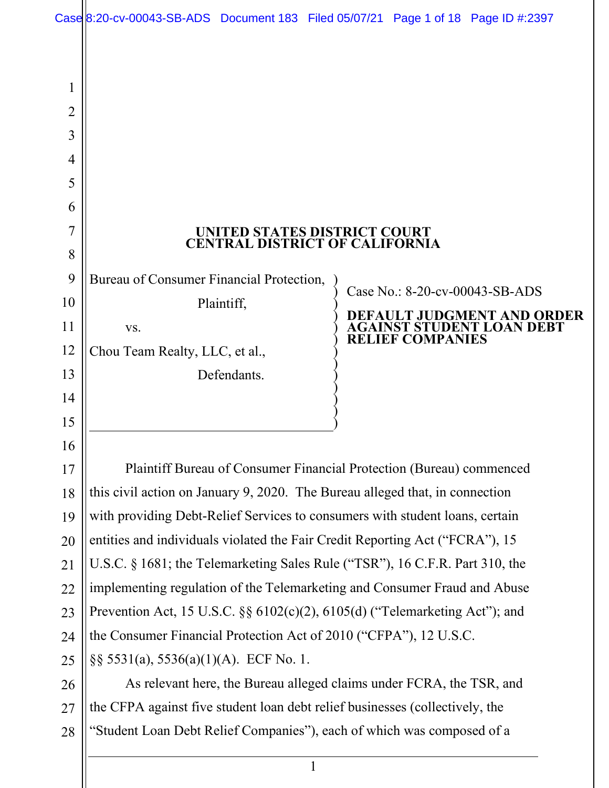|                | Case 8:20-cv-00043-SB-ADS Document 183 Filed 05/07/21 Page 1 of 18 Page ID #:2397                                                                    |  |                                |                                                         |
|----------------|------------------------------------------------------------------------------------------------------------------------------------------------------|--|--------------------------------|---------------------------------------------------------|
|                |                                                                                                                                                      |  |                                |                                                         |
| 1              |                                                                                                                                                      |  |                                |                                                         |
| $\overline{2}$ |                                                                                                                                                      |  |                                |                                                         |
| 3              |                                                                                                                                                      |  |                                |                                                         |
| 4              |                                                                                                                                                      |  |                                |                                                         |
| 5              |                                                                                                                                                      |  |                                |                                                         |
| 6              |                                                                                                                                                      |  |                                |                                                         |
| 7              | UNITED STATES DISTRICT COURT                                                                                                                         |  |                                |                                                         |
| 8              | <b>CENTRAL DISTRICT OF CALIFORNIA</b>                                                                                                                |  |                                |                                                         |
| 9              | Bureau of Consumer Financial Protection,                                                                                                             |  |                                |                                                         |
| 10             | Plaintiff,                                                                                                                                           |  | Case No.: 8-20-cv-00043-SB-ADS |                                                         |
| 11             | VS.                                                                                                                                                  |  |                                | <b>T JUDGMENT AND ORDER</b><br>GAINST STUDENT LOAN DEBT |
| 12             | Chou Team Realty, LLC, et al.,                                                                                                                       |  | <b>RELIEF COMPANIES</b>        |                                                         |
| 13             | Defendants.                                                                                                                                          |  |                                |                                                         |
| 14             |                                                                                                                                                      |  |                                |                                                         |
| 15             |                                                                                                                                                      |  |                                |                                                         |
| 16             |                                                                                                                                                      |  |                                |                                                         |
| 17             | Plaintiff Bureau of Consumer Financial Protection (Bureau) commenced                                                                                 |  |                                |                                                         |
| 18             | this civil action on January 9, 2020. The Bureau alleged that, in connection                                                                         |  |                                |                                                         |
| 19             | with providing Debt-Relief Services to consumers with student loans, certain                                                                         |  |                                |                                                         |
| 20             | entities and individuals violated the Fair Credit Reporting Act ("FCRA"), 15                                                                         |  |                                |                                                         |
| 21             | U.S.C. § 1681; the Telemarketing Sales Rule ("TSR"), 16 C.F.R. Part 310, the                                                                         |  |                                |                                                         |
| 22             | implementing regulation of the Telemarketing and Consumer Fraud and Abuse                                                                            |  |                                |                                                         |
| 23             | Prevention Act, 15 U.S.C. $\S\S 6102(c)(2)$ , 6105(d) ("Telemarketing Act"); and                                                                     |  |                                |                                                         |
| 24             | the Consumer Financial Protection Act of 2010 ("CFPA"), 12 U.S.C.                                                                                    |  |                                |                                                         |
| 25             | §§ 5531(a), 5536(a)(1)(A). ECF No. 1.                                                                                                                |  |                                |                                                         |
| 26             | As relevant here, the Bureau alleged claims under FCRA, the TSR, and<br>the CFPA against five student loan debt relief businesses (collectively, the |  |                                |                                                         |
| 27<br>28       | "Student Loan Debt Relief Companies"), each of which was composed of a                                                                               |  |                                |                                                         |
|                |                                                                                                                                                      |  |                                |                                                         |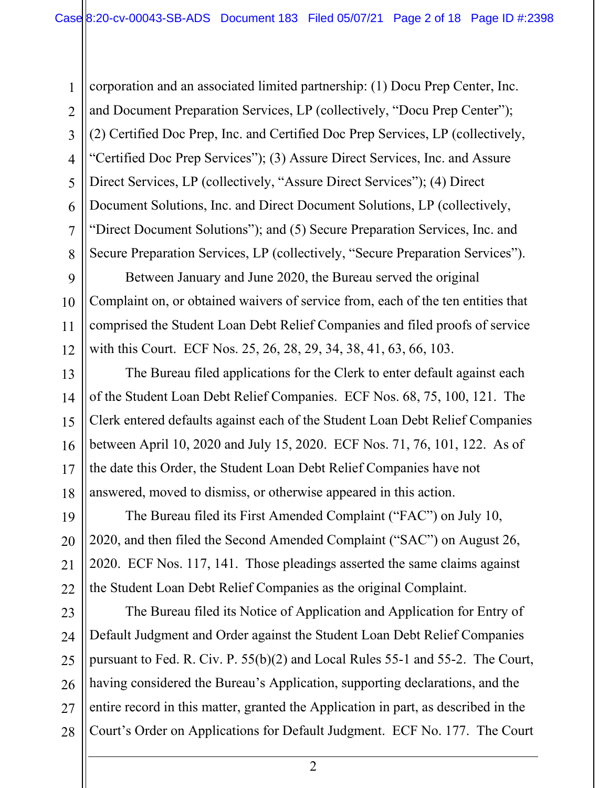corporation and an associated limited partnership: (1) Docu Prep Center, Inc. and Document Preparation Services, LP (collectively, "Docu Prep Center"); (2) Certified Doc Prep, Inc. and Certified Doc Prep Services, LP (collectively, "Certified Doc Prep Services"); (3) Assure Direct Services, Inc. and Assure Direct Services, LP (collectively, "Assure Direct Services"); (4) Direct Document Solutions, Inc. and Direct Document Solutions, LP (collectively, "Direct Document Solutions"); and (5) Secure Preparation Services, Inc. and Secure Preparation Services, LP (collectively, "Secure Preparation Services").

Between January and June 2020, the Bureau served the original Complaint on, or obtained waivers of service from, each of the ten entities that comprised the Student Loan Debt Relief Companies and filed proofs of service with this Court. ECF Nos. 25, 26, 28, 29, 34, 38, 41, 63, 66, 103.

The Bureau filed applications for the Clerk to enter default against each of the Student Loan Debt Relief Companies. ECF Nos. 68, 75, 100, 121. The Clerk entered defaults against each of the Student Loan Debt Relief Companies between April 10, 2020 and July 15, 2020. ECF Nos. 71, 76, 101, 122. As of the date this Order, the Student Loan Debt Relief Companies have not answered, moved to dismiss, or otherwise appeared in this action.

The Bureau filed its First Amended Complaint ("FAC") on July 10, 2020, and then filed the Second Amended Complaint ("SAC") on August 26, 2020. ECF Nos. 117, 141. Those pleadings asserted the same claims against the Student Loan Debt Relief Companies as the original Complaint.

The Bureau filed its Notice of Application and Application for Entry of Default Judgment and Order against the Student Loan Debt Relief Companies pursuant to Fed. R. Civ. P. 55(b)(2) and Local Rules 55-1 and 55-2. The Court, having considered the Bureau's Application, supporting declarations, and the entire record in this matter, granted the Application in part, as described in the Court's Order on Applications for Default Judgment. ECF No. 177. The Court

1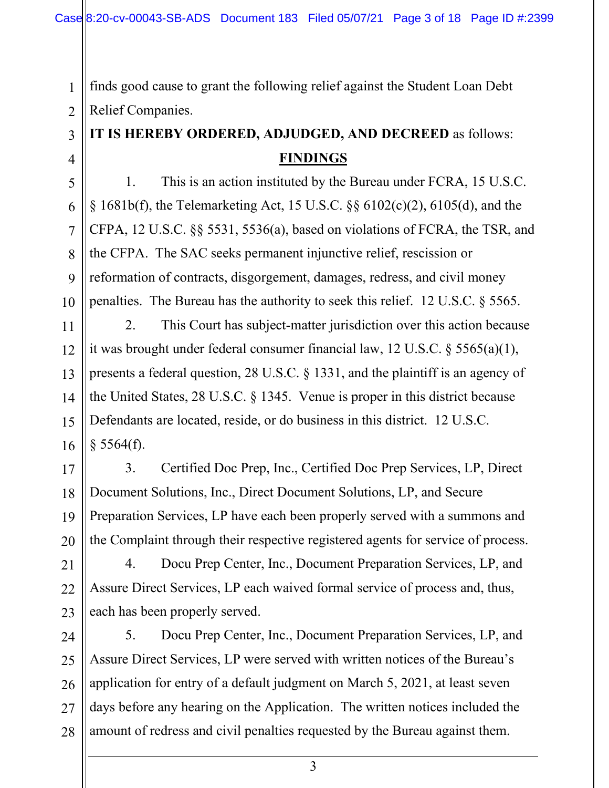finds good cause to grant the following relief against the Student Loan Debt Relief Companies.

# **IT IS HEREBY ORDERED, ADJUDGED, AND DECREED** as follows: **FINDINGS**

1. This is an action instituted by the Bureau under FCRA, 15 U.S.C. § 1681b(f), the Telemarketing Act, 15 U.S.C. §§ 6102(c)(2), 6105(d), and the CFPA, 12 U.S.C. §§ 5531, 5536(a), based on violations of FCRA, the TSR, and the CFPA. The SAC seeks permanent injunctive relief, rescission or reformation of contracts, disgorgement, damages, redress, and civil money penalties. The Bureau has the authority to seek this relief. 12 U.S.C. § 5565.

2. This Court has subject-matter jurisdiction over this action because it was brought under federal consumer financial law, 12 U.S.C. § 5565(a)(1), presents a federal question, 28 U.S.C. § 1331, and the plaintiff is an agency of the United States, 28 U.S.C. § 1345. Venue is proper in this district because Defendants are located, reside, or do business in this district. 12 U.S.C.  $§$  5564(f).

3. Certified Doc Prep, Inc., Certified Doc Prep Services, LP, Direct Document Solutions, Inc., Direct Document Solutions, LP, and Secure Preparation Services, LP have each been properly served with a summons and the Complaint through their respective registered agents for service of process.

4. Docu Prep Center, Inc., Document Preparation Services, LP, and Assure Direct Services, LP each waived formal service of process and, thus, each has been properly served.

28 5. Docu Prep Center, Inc., Document Preparation Services, LP, and Assure Direct Services, LP were served with written notices of the Bureau's application for entry of a default judgment on March 5, 2021, at least seven days before any hearing on the Application. The written notices included the amount of redress and civil penalties requested by the Bureau against them.

1

2

3

4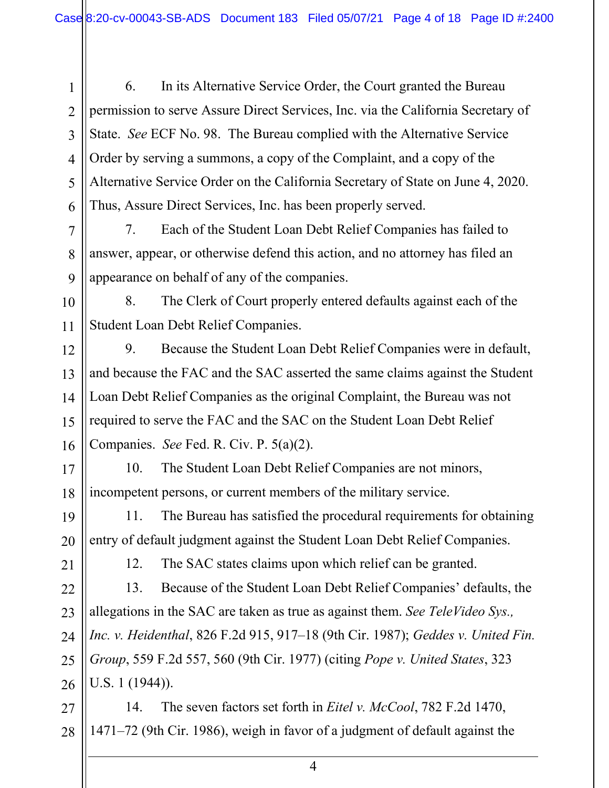6. In its Alternative Service Order, the Court granted the Bureau permission to serve Assure Direct Services, Inc. via the California Secretary of State. *See* ECF No. 98. The Bureau complied with the Alternative Service Order by serving a summons, a copy of the Complaint, and a copy of the Alternative Service Order on the California Secretary of State on June 4, 2020. Thus, Assure Direct Services, Inc. has been properly served.

7. Each of the Student Loan Debt Relief Companies has failed to answer, appear, or otherwise defend this action, and no attorney has filed an appearance on behalf of any of the companies.

10 11 8. The Clerk of Court properly entered defaults against each of the Student Loan Debt Relief Companies.

9. Because the Student Loan Debt Relief Companies were in default, and because the FAC and the SAC asserted the same claims against the Student Loan Debt Relief Companies as the original Complaint, the Bureau was not required to serve the FAC and the SAC on the Student Loan Debt Relief Companies. *See* Fed. R. Civ. P. 5(a)(2).

17 18 10. The Student Loan Debt Relief Companies are not minors, incompetent persons, or current members of the military service.

11. The Bureau has satisfied the procedural requirements for obtaining entry of default judgment against the Student Loan Debt Relief Companies.

21

19

20

1

2

3

4

5

6

7

8

9

12

13

14

15

16

12. The SAC states claims upon which relief can be granted.

22 23 24 25 26 13. Because of the Student Loan Debt Relief Companies' defaults, the allegations in the SAC are taken as true as against them. *See TeleVideo Sys., Inc. v. Heidenthal*, 826 F.2d 915, 917–18 (9th Cir. 1987); *Geddes v. United Fin. Group*, 559 F.2d 557, 560 (9th Cir. 1977) (citing *Pope v. United States*, 323 U.S. 1 (1944)).

27 28 14. The seven factors set forth in *Eitel v. McCool*, 782 F.2d 1470, 1471–72 (9th Cir. 1986), weigh in favor of a judgment of default against the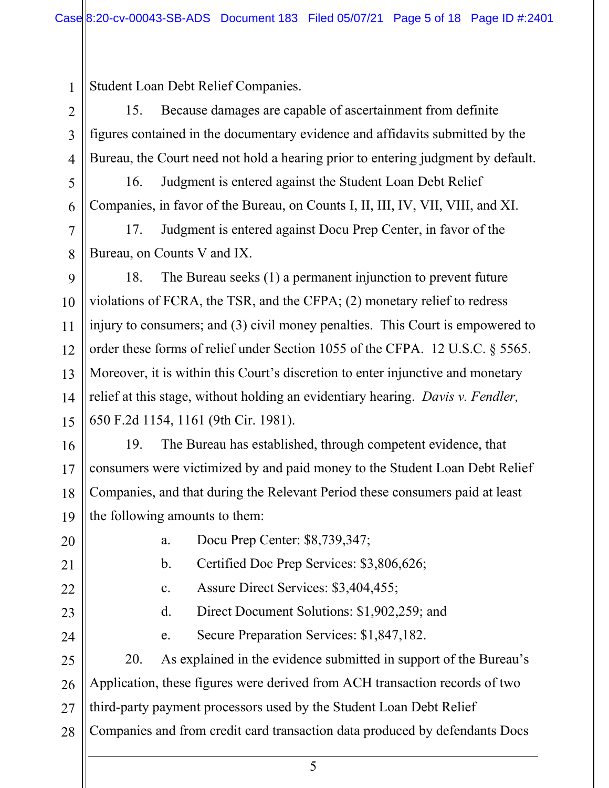1 Student Loan Debt Relief Companies.

15. Because damages are capable of ascertainment from definite figures contained in the documentary evidence and affidavits submitted by the Bureau, the Court need not hold a hearing prior to entering judgment by default.

16. Judgment is entered against the Student Loan Debt Relief Companies, in favor of the Bureau, on Counts I, II, III, IV, VII, VIII, and XI.

17. Judgment is entered against Docu Prep Center, in favor of the Bureau, on Counts V and IX.

14 18. The Bureau seeks (1) a permanent injunction to prevent future violations of FCRA, the TSR, and the CFPA; (2) monetary relief to redress injury to consumers; and (3) civil money penalties. This Court is empowered to order these forms of relief under Section 1055 of the CFPA. 12 U.S.C. § 5565. Moreover, it is within this Court's discretion to enter injunctive and monetary relief at this stage, without holding an evidentiary hearing. *Davis v. Fendler,*  650 F.2d 1154, 1161 (9th Cir. 1981).

16 17 18 19 19. The Bureau has established, through competent evidence, that consumers were victimized by and paid money to the Student Loan Debt Relief Companies, and that during the Relevant Period these consumers paid at least the following amounts to them:

2

3

4

5

6

7

8

9

10

11

12

13

15

a. Docu Prep Center: \$8,739,347;

b. Certified Doc Prep Services: \$3,806,626;

c. Assure Direct Services: \$3,404,455;

d. Direct Document Solutions: \$1,902,259; and

e. Secure Preparation Services: \$1,847,182.

28 20. As explained in the evidence submitted in support of the Bureau's Application, these figures were derived from ACH transaction records of two third-party payment processors used by the Student Loan Debt Relief Companies and from credit card transaction data produced by defendants Docs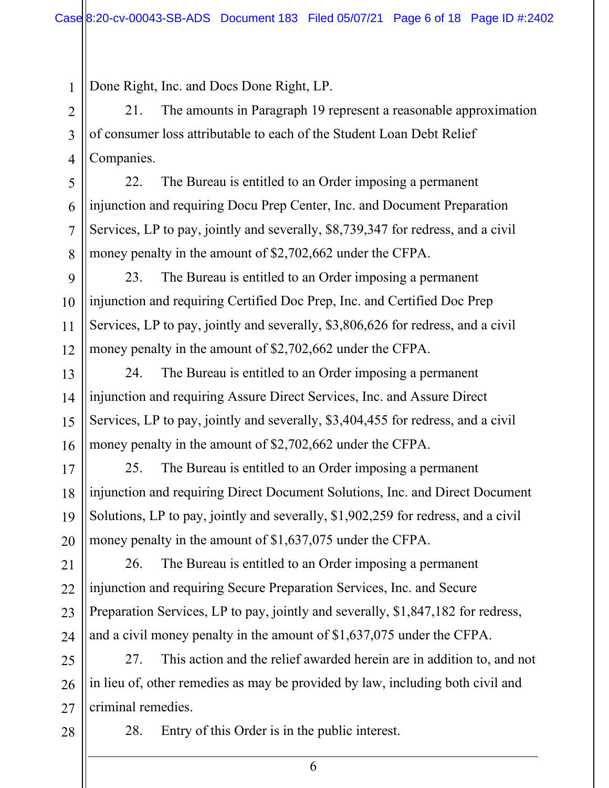1 Done Right, Inc. and Docs Done Right, LP.

21. The amounts in Paragraph 19 represent a reasonable approximation of consumer loss attributable to each of the Student Loan Debt Relief Companies.

22. The Bureau is entitled to an Order imposing a permanent injunction and requiring Docu Prep Center, Inc. and Document Preparation Services, LP to pay, jointly and severally, \$8,739,347 for redress, and a civil money penalty in the amount of \$2,702,662 under the CFPA.

23. The Bureau is entitled to an Order imposing a permanent injunction and requiring Certified Doc Prep, Inc. and Certified Doc Prep Services, LP to pay, jointly and severally, \$3,806,626 for redress, and a civil money penalty in the amount of \$2,702,662 under the CFPA.

24. The Bureau is entitled to an Order imposing a permanent injunction and requiring Assure Direct Services, Inc. and Assure Direct Services, LP to pay, jointly and severally, \$3,404,455 for redress, and a civil money penalty in the amount of \$2,702,662 under the CFPA.

25. The Bureau is entitled to an Order imposing a permanent injunction and requiring Direct Document Solutions, Inc. and Direct Document Solutions, LP to pay, jointly and severally, \$1,902,259 for redress, and a civil money penalty in the amount of \$1,637,075 under the CFPA.

22 23 24 26. The Bureau is entitled to an Order imposing a permanent injunction and requiring Secure Preparation Services, Inc. and Secure Preparation Services, LP to pay, jointly and severally, \$1,847,182 for redress, and a civil money penalty in the amount of \$1,637,075 under the CFPA.

25 26 27 27. This action and the relief awarded herein are in addition to, and not in lieu of, other remedies as may be provided by law, including both civil and criminal remedies.

28

2

3

4

5

6

7

8

9

10

11

12

13

14

15

16

17

18

19

20

21

28. Entry of this Order is in the public interest.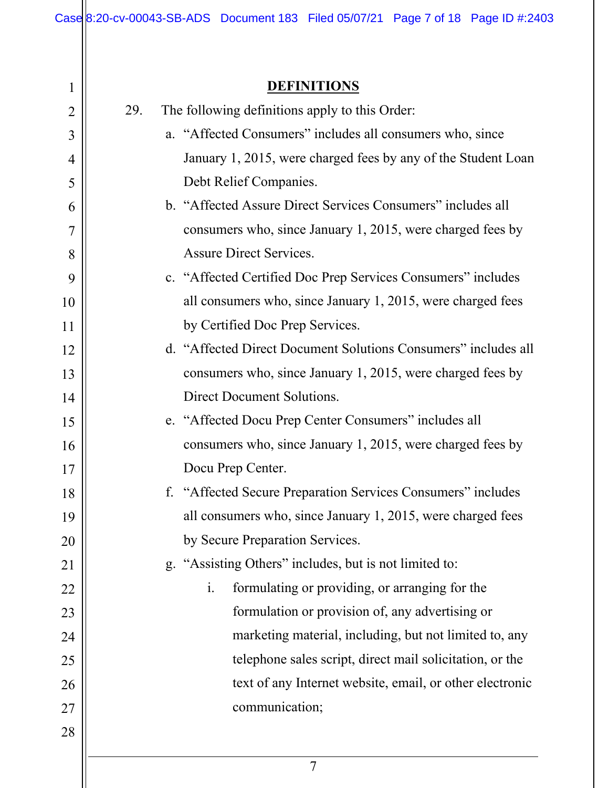## **DEFINITIONS**

| 1              | <b>DEFINITIONS</b>                                               |
|----------------|------------------------------------------------------------------|
| $\overline{2}$ | The following definitions apply to this Order:<br>29.            |
| 3              | a. "Affected Consumers" includes all consumers who, since        |
| 4              | January 1, 2015, were charged fees by any of the Student Loan    |
| 5              | Debt Relief Companies.                                           |
| 6              | b. "Affected Assure Direct Services Consumers" includes all      |
| 7              | consumers who, since January 1, 2015, were charged fees by       |
| 8              | <b>Assure Direct Services.</b>                                   |
| 9              | c. "Affected Certified Doc Prep Services Consumers" includes     |
| 10             | all consumers who, since January 1, 2015, were charged fees      |
| 11             | by Certified Doc Prep Services.                                  |
| 12             | d. "Affected Direct Document Solutions Consumers" includes all   |
| 13             | consumers who, since January 1, 2015, were charged fees by       |
| 14             | Direct Document Solutions.                                       |
| 15             | e. "Affected Docu Prep Center Consumers" includes all            |
| 16             | consumers who, since January 1, 2015, were charged fees by       |
| 17             | Docu Prep Center.                                                |
| 18             | f. "Affected Secure Preparation Services Consumers" includes     |
| 19             | all consumers who, since January 1, 2015, were charged fees      |
| 20             | by Secure Preparation Services.                                  |
| 21             | g. "Assisting Others" includes, but is not limited to:           |
| 22             | formulating or providing, or arranging for the<br>$\mathbf{i}$ . |
| 23             | formulation or provision of, any advertising or                  |
| 24             | marketing material, including, but not limited to, any           |
| 25             | telephone sales script, direct mail solicitation, or the         |
| 26             | text of any Internet website, email, or other electronic         |
| 27             | communication;                                                   |
| 28             |                                                                  |
|                | $\overline{7}$                                                   |
|                |                                                                  |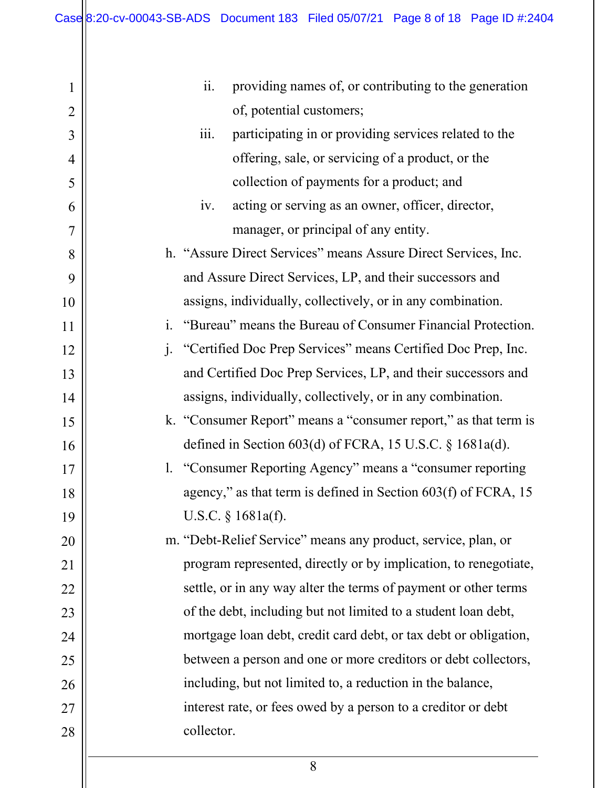| 1              | ii.<br>providing names of, or contributing to the generation                  |
|----------------|-------------------------------------------------------------------------------|
| $\overline{2}$ | of, potential customers;                                                      |
| 3              | participating in or providing services related to the<br>$\overline{111}$ .   |
| 4              | offering, sale, or servicing of a product, or the                             |
| 5              | collection of payments for a product; and                                     |
| 6              | acting or serving as an owner, officer, director,<br>iv.                      |
| 7              | manager, or principal of any entity.                                          |
| 8              | h. "Assure Direct Services" means Assure Direct Services, Inc.                |
| 9              | and Assure Direct Services, LP, and their successors and                      |
| 10             | assigns, individually, collectively, or in any combination.                   |
| 11             | "Bureau" means the Bureau of Consumer Financial Protection.<br>$\mathbf{i}$ . |
| 12             | j. "Certified Doc Prep Services" means Certified Doc Prep, Inc.               |
| 13             | and Certified Doc Prep Services, LP, and their successors and                 |
| 14             | assigns, individually, collectively, or in any combination.                   |
| 15             | k. "Consumer Report" means a "consumer report," as that term is               |
| 16             | defined in Section $603(d)$ of FCRA, 15 U.S.C. § 1681a(d).                    |
| 17             | 1. "Consumer Reporting Agency" means a "consumer reporting                    |
| 18             | agency," as that term is defined in Section 603(f) of FCRA, 15                |
| 19             | U.S.C. § 1681a(f).                                                            |
| 20             | m. "Debt-Relief Service" means any product, service, plan, or                 |
| 21             | program represented, directly or by implication, to renegotiate,              |
| 22             | settle, or in any way alter the terms of payment or other terms               |
| 23             | of the debt, including but not limited to a student loan debt,                |
| 24             | mortgage loan debt, credit card debt, or tax debt or obligation,              |
| 25             | between a person and one or more creditors or debt collectors,                |
| 26             | including, but not limited to, a reduction in the balance,                    |
| 27             | interest rate, or fees owed by a person to a creditor or debt                 |
| 28             | collector.                                                                    |
|                |                                                                               |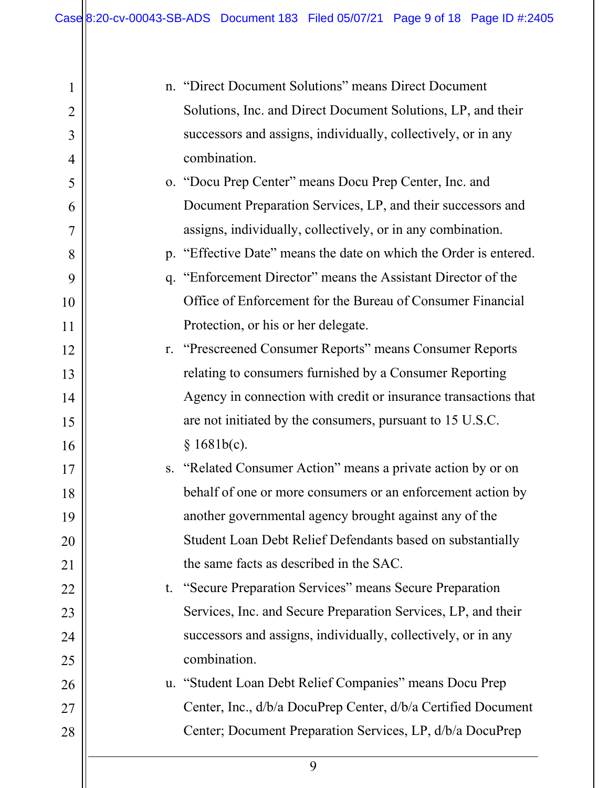$\mathbf{\mathsf{H}}$ 

| 1              | n. "Direct Document Solutions" means Direct Document              |
|----------------|-------------------------------------------------------------------|
| $\overline{2}$ | Solutions, Inc. and Direct Document Solutions, LP, and their      |
| 3              | successors and assigns, individually, collectively, or in any     |
| 4              | combination.                                                      |
| 5              | o. "Docu Prep Center" means Docu Prep Center, Inc. and            |
| 6              | Document Preparation Services, LP, and their successors and       |
| 7              | assigns, individually, collectively, or in any combination.       |
| 8              | p. "Effective Date" means the date on which the Order is entered. |
| 9              | q. "Enforcement Director" means the Assistant Director of the     |
| 10             | Office of Enforcement for the Bureau of Consumer Financial        |
| 11             | Protection, or his or her delegate.                               |
| 12             | r. "Prescreened Consumer Reports" means Consumer Reports          |
| 13             | relating to consumers furnished by a Consumer Reporting           |
| 14             | Agency in connection with credit or insurance transactions that   |
| 15             | are not initiated by the consumers, pursuant to 15 U.S.C.         |
| 16             | § 1681b(c).                                                       |
| 17             | s. "Related Consumer Action" means a private action by or on      |
| 18             | behalf of one or more consumers or an enforcement action by       |
| 19             | another governmental agency brought against any of the            |
| 20             | Student Loan Debt Relief Defendants based on substantially        |
| 21             | the same facts as described in the SAC.                           |
| 22             | t. "Secure Preparation Services" means Secure Preparation         |
| 23             | Services, Inc. and Secure Preparation Services, LP, and their     |
| 24             | successors and assigns, individually, collectively, or in any     |
| 25             | combination.                                                      |
| 26             | u. "Student Loan Debt Relief Companies" means Docu Prep           |
| 27             | Center, Inc., d/b/a DocuPrep Center, d/b/a Certified Document     |
| 28             | Center; Document Preparation Services, LP, d/b/a DocuPrep         |
|                | 9                                                                 |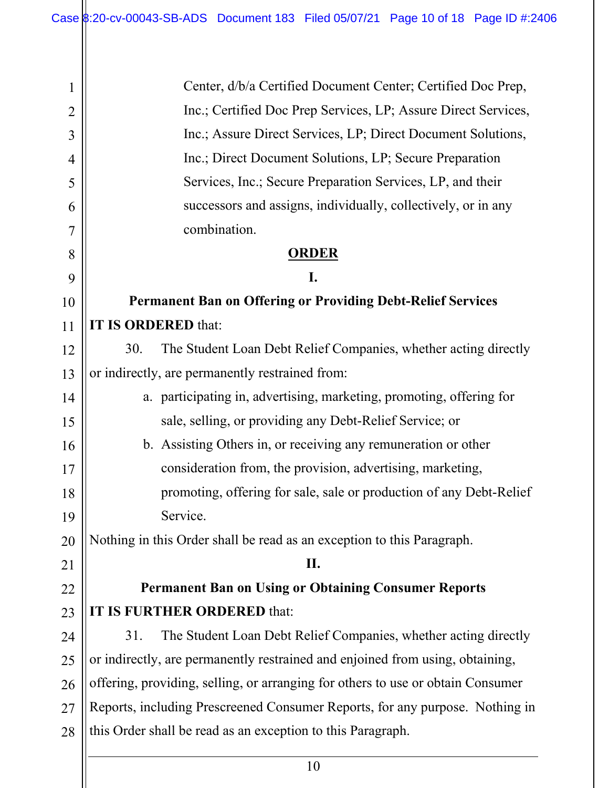| 1              | Center, d/b/a Certified Document Center; Certified Doc Prep,                    |
|----------------|---------------------------------------------------------------------------------|
| $\overline{2}$ | Inc.; Certified Doc Prep Services, LP; Assure Direct Services,                  |
| 3              | Inc.; Assure Direct Services, LP; Direct Document Solutions,                    |
| $\overline{4}$ | Inc.; Direct Document Solutions, LP; Secure Preparation                         |
| 5              | Services, Inc.; Secure Preparation Services, LP, and their                      |
| 6              | successors and assigns, individually, collectively, or in any                   |
| 7              | combination.                                                                    |
| 8              | <b>ORDER</b>                                                                    |
| 9              | I.                                                                              |
| 10             | <b>Permanent Ban on Offering or Providing Debt-Relief Services</b>              |
| 11             | IT IS ORDERED that:                                                             |
| 12             | The Student Loan Debt Relief Companies, whether acting directly<br>30.          |
| 13             | or indirectly, are permanently restrained from:                                 |
| 14             | a. participating in, advertising, marketing, promoting, offering for            |
| 15             | sale, selling, or providing any Debt-Relief Service; or                         |
| 16             | b. Assisting Others in, or receiving any remuneration or other                  |
| 17             | consideration from, the provision, advertising, marketing,                      |
| 18             | promoting, offering for sale, sale or production of any Debt-Relief             |
| 19             | Service.                                                                        |
| 20             | Nothing in this Order shall be read as an exception to this Paragraph.          |
| 21             | П.                                                                              |
| 22             | <b>Permanent Ban on Using or Obtaining Consumer Reports</b>                     |
| 23             | IT IS FURTHER ORDERED that:                                                     |
| 24             | The Student Loan Debt Relief Companies, whether acting directly<br>31.          |
| 25             | or indirectly, are permanently restrained and enjoined from using, obtaining,   |
| 26             | offering, providing, selling, or arranging for others to use or obtain Consumer |
| 27             | Reports, including Prescreened Consumer Reports, for any purpose. Nothing in    |
| 28             | this Order shall be read as an exception to this Paragraph.                     |
|                |                                                                                 |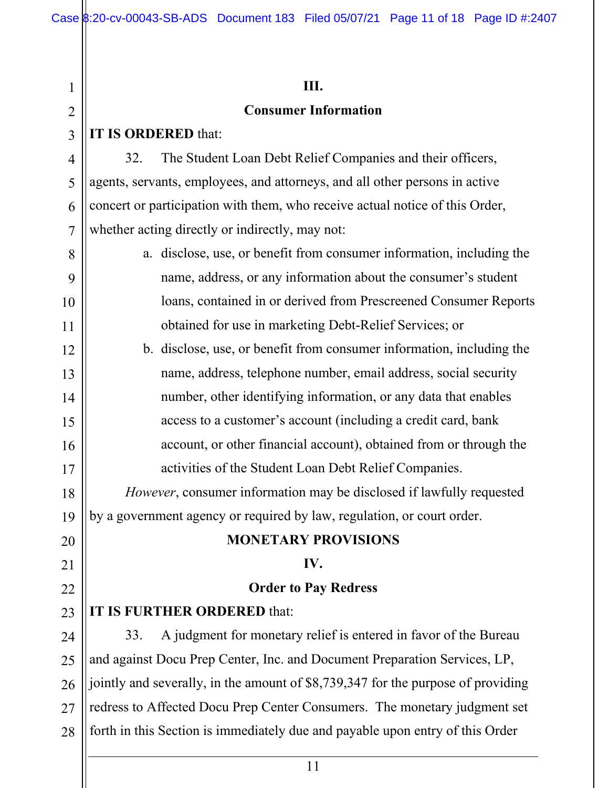| $\mathbf 1$    | Ш.                                                                               |
|----------------|----------------------------------------------------------------------------------|
| $\overline{2}$ | <b>Consumer Information</b>                                                      |
| 3              | IT IS ORDERED that:                                                              |
| 4              | The Student Loan Debt Relief Companies and their officers,<br>32.                |
| 5              | agents, servants, employees, and attorneys, and all other persons in active      |
| 6              | concert or participation with them, who receive actual notice of this Order,     |
| 7              | whether acting directly or indirectly, may not:                                  |
| 8              | a. disclose, use, or benefit from consumer information, including the            |
| 9              | name, address, or any information about the consumer's student                   |
| 10             | loans, contained in or derived from Prescreened Consumer Reports                 |
| 11             | obtained for use in marketing Debt-Relief Services; or                           |
| 12             | b. disclose, use, or benefit from consumer information, including the            |
| 13             | name, address, telephone number, email address, social security                  |
| 14             | number, other identifying information, or any data that enables                  |
| 15             | access to a customer's account (including a credit card, bank                    |
| 16             | account, or other financial account), obtained from or through the               |
| 17             | activities of the Student Loan Debt Relief Companies.                            |
| 18             | However, consumer information may be disclosed if lawfully requested             |
| 19             | by a government agency or required by law, regulation, or court order.           |
| 20             | <b>MONETARY PROVISIONS</b>                                                       |
| 21             | IV.                                                                              |
| 22             | <b>Order to Pay Redress</b>                                                      |
| 23             | IT IS FURTHER ORDERED that:                                                      |
| 24             | A judgment for monetary relief is entered in favor of the Bureau<br>33.          |
| 25             | and against Docu Prep Center, Inc. and Document Preparation Services, LP,        |
| 26             | jointly and severally, in the amount of \$8,739,347 for the purpose of providing |
| 27             | redress to Affected Docu Prep Center Consumers. The monetary judgment set        |
| 28             | forth in this Section is immediately due and payable upon entry of this Order    |
|                |                                                                                  |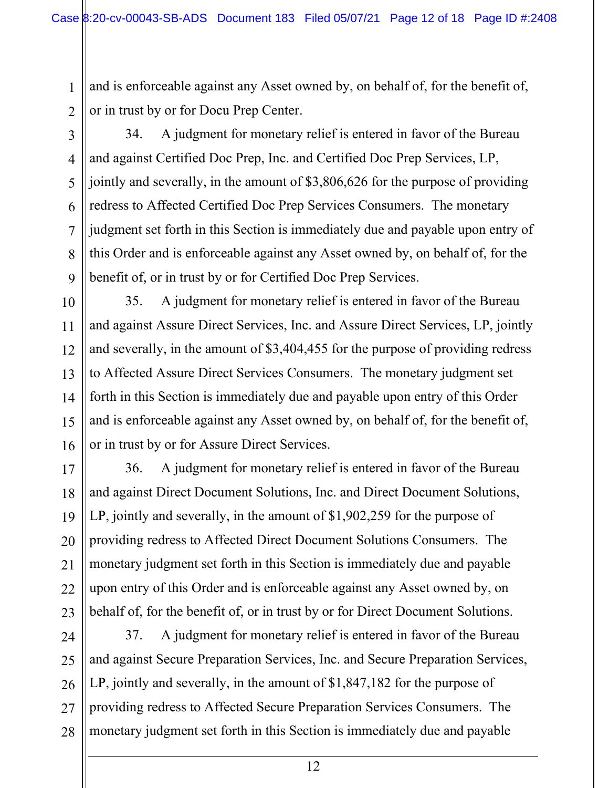and is enforceable against any Asset owned by, on behalf of, for the benefit of, or in trust by or for Docu Prep Center.

2 3

4

5

6

7

8

9

10

11

12

13

14

15

16

17

18

19

20

21

22

23

1

34. A judgment for monetary relief is entered in favor of the Bureau and against Certified Doc Prep, Inc. and Certified Doc Prep Services, LP, jointly and severally, in the amount of \$3,806,626 for the purpose of providing redress to Affected Certified Doc Prep Services Consumers. The monetary judgment set forth in this Section is immediately due and payable upon entry of this Order and is enforceable against any Asset owned by, on behalf of, for the benefit of, or in trust by or for Certified Doc Prep Services.

35. A judgment for monetary relief is entered in favor of the Bureau and against Assure Direct Services, Inc. and Assure Direct Services, LP, jointly and severally, in the amount of \$3,404,455 for the purpose of providing redress to Affected Assure Direct Services Consumers. The monetary judgment set forth in this Section is immediately due and payable upon entry of this Order and is enforceable against any Asset owned by, on behalf of, for the benefit of, or in trust by or for Assure Direct Services.

36. A judgment for monetary relief is entered in favor of the Bureau and against Direct Document Solutions, Inc. and Direct Document Solutions, LP, jointly and severally, in the amount of \$1,902,259 for the purpose of providing redress to Affected Direct Document Solutions Consumers. The monetary judgment set forth in this Section is immediately due and payable upon entry of this Order and is enforceable against any Asset owned by, on behalf of, for the benefit of, or in trust by or for Direct Document Solutions.

24 25 26 27 28 37. A judgment for monetary relief is entered in favor of the Bureau and against Secure Preparation Services, Inc. and Secure Preparation Services, LP, jointly and severally, in the amount of \$1,847,182 for the purpose of providing redress to Affected Secure Preparation Services Consumers. The monetary judgment set forth in this Section is immediately due and payable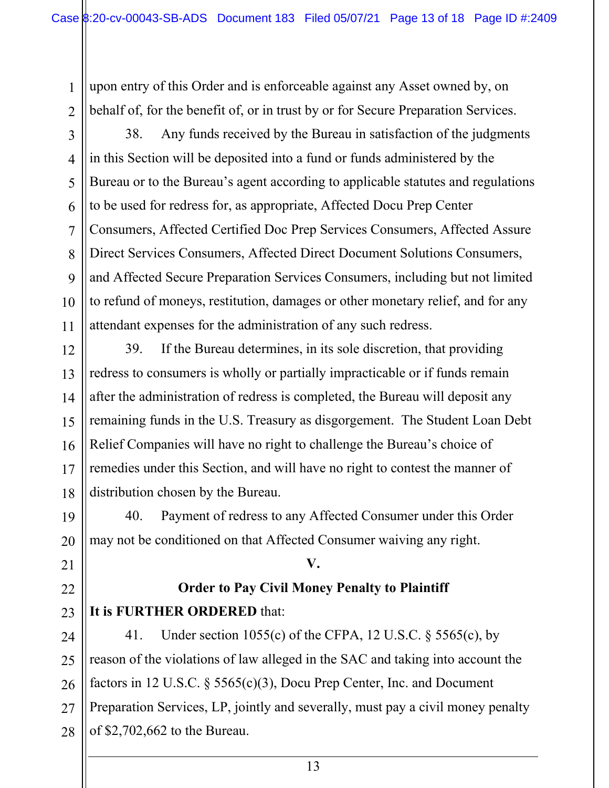upon entry of this Order and is enforceable against any Asset owned by, on behalf of, for the benefit of, or in trust by or for Secure Preparation Services.

1

2

3

4

5

6

7

8

9

10

11

19

20

21

22

23

38. Any funds received by the Bureau in satisfaction of the judgments in this Section will be deposited into a fund or funds administered by the Bureau or to the Bureau's agent according to applicable statutes and regulations to be used for redress for, as appropriate, Affected Docu Prep Center Consumers, Affected Certified Doc Prep Services Consumers, Affected Assure Direct Services Consumers, Affected Direct Document Solutions Consumers, and Affected Secure Preparation Services Consumers, including but not limited to refund of moneys, restitution, damages or other monetary relief, and for any attendant expenses for the administration of any such redress.

12 13 14 15 16 17 18 39. If the Bureau determines, in its sole discretion, that providing redress to consumers is wholly or partially impracticable or if funds remain after the administration of redress is completed, the Bureau will deposit any remaining funds in the U.S. Treasury as disgorgement. The Student Loan Debt Relief Companies will have no right to challenge the Bureau's choice of remedies under this Section, and will have no right to contest the manner of distribution chosen by the Bureau.

40. Payment of redress to any Affected Consumer under this Order may not be conditioned on that Affected Consumer waiving any right.

# **Order to Pay Civil Money Penalty to Plaintiff It is FURTHER ORDERED** that:

**V.**

24 25 26 27 28 41. Under section 1055(c) of the CFPA, 12 U.S.C. § 5565(c), by reason of the violations of law alleged in the SAC and taking into account the factors in 12 U.S.C. § 5565(c)(3), Docu Prep Center, Inc. and Document Preparation Services, LP, jointly and severally, must pay a civil money penalty of \$2,702,662 to the Bureau.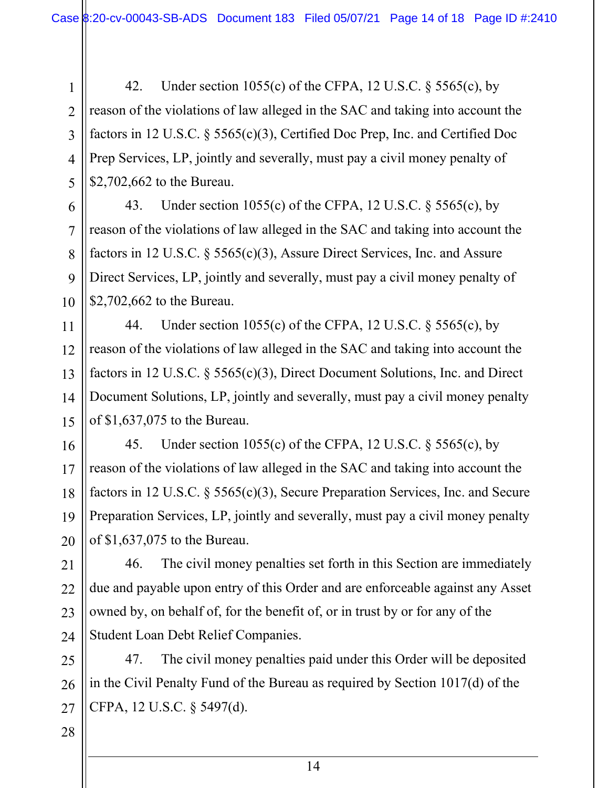42. Under section 1055(c) of the CFPA, 12 U.S.C. § 5565(c), by reason of the violations of law alleged in the SAC and taking into account the factors in 12 U.S.C. § 5565(c)(3), Certified Doc Prep, Inc. and Certified Doc Prep Services, LP, jointly and severally, must pay a civil money penalty of \$2,702,662 to the Bureau.

43. Under section 1055(c) of the CFPA, 12 U.S.C. § 5565(c), by reason of the violations of law alleged in the SAC and taking into account the factors in 12 U.S.C. § 5565(c)(3), Assure Direct Services, Inc. and Assure Direct Services, LP, jointly and severally, must pay a civil money penalty of \$2,702,662 to the Bureau.

44. Under section 1055(c) of the CFPA, 12 U.S.C. § 5565(c), by reason of the violations of law alleged in the SAC and taking into account the factors in 12 U.S.C. § 5565(c)(3), Direct Document Solutions, Inc. and Direct Document Solutions, LP, jointly and severally, must pay a civil money penalty of \$1,637,075 to the Bureau.

45. Under section 1055(c) of the CFPA, 12 U.S.C. § 5565(c), by reason of the violations of law alleged in the SAC and taking into account the factors in 12 U.S.C. § 5565(c)(3), Secure Preparation Services, Inc. and Secure Preparation Services, LP, jointly and severally, must pay a civil money penalty of \$1,637,075 to the Bureau.

46. The civil money penalties set forth in this Section are immediately due and payable upon entry of this Order and are enforceable against any Asset owned by, on behalf of, for the benefit of, or in trust by or for any of the Student Loan Debt Relief Companies.

47. The civil money penalties paid under this Order will be deposited in the Civil Penalty Fund of the Bureau as required by Section 1017(d) of the CFPA, 12 U.S.C. § 5497(d).

1

2

3

4

5

6

7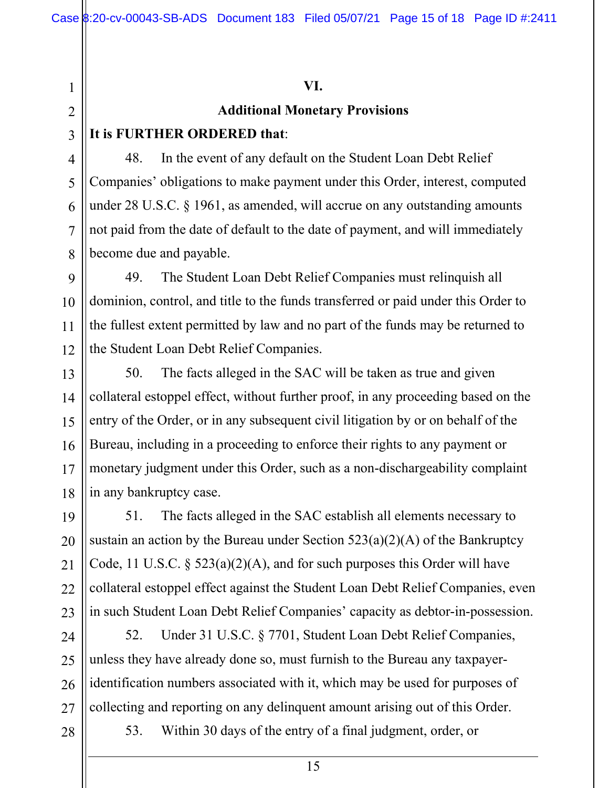#### **VI.**

### **Additional Monetary Provisions**

### **It is FURTHER ORDERED that**:

1

2

3

4

5

6

7

8

9

10

11

12

13

15

16

17

48. In the event of any default on the Student Loan Debt Relief Companies' obligations to make payment under this Order, interest, computed under 28 U.S.C. § 1961, as amended, will accrue on any outstanding amounts not paid from the date of default to the date of payment, and will immediately become due and payable.

49. The Student Loan Debt Relief Companies must relinquish all dominion, control, and title to the funds transferred or paid under this Order to the fullest extent permitted by law and no part of the funds may be returned to the Student Loan Debt Relief Companies.

14 18 50. The facts alleged in the SAC will be taken as true and given collateral estoppel effect, without further proof, in any proceeding based on the entry of the Order, or in any subsequent civil litigation by or on behalf of the Bureau, including in a proceeding to enforce their rights to any payment or monetary judgment under this Order, such as a non-dischargeability complaint in any bankruptcy case.

19 20 21 22 23 51. The facts alleged in the SAC establish all elements necessary to sustain an action by the Bureau under Section  $523(a)(2)(A)$  of the Bankruptcy Code, 11 U.S.C. § 523(a)(2)(A), and for such purposes this Order will have collateral estoppel effect against the Student Loan Debt Relief Companies, even in such Student Loan Debt Relief Companies' capacity as debtor-in-possession.

24 25 26 27 52. Under 31 U.S.C. § 7701, Student Loan Debt Relief Companies, unless they have already done so, must furnish to the Bureau any taxpayeridentification numbers associated with it, which may be used for purposes of collecting and reporting on any delinquent amount arising out of this Order.

#### 28

53. Within 30 days of the entry of a final judgment, order, or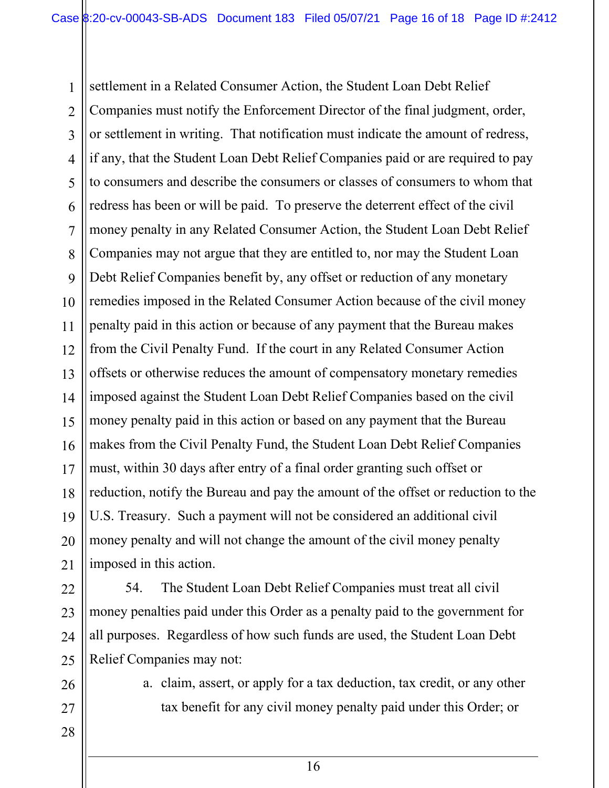1 2 3 4 5 6 7 8 9 10 11 12 13 14 15 16 17 18 19 20 21 settlement in a Related Consumer Action, the Student Loan Debt Relief Companies must notify the Enforcement Director of the final judgment, order, or settlement in writing. That notification must indicate the amount of redress, if any, that the Student Loan Debt Relief Companies paid or are required to pay to consumers and describe the consumers or classes of consumers to whom that redress has been or will be paid. To preserve the deterrent effect of the civil money penalty in any Related Consumer Action, the Student Loan Debt Relief Companies may not argue that they are entitled to, nor may the Student Loan Debt Relief Companies benefit by, any offset or reduction of any monetary remedies imposed in the Related Consumer Action because of the civil money penalty paid in this action or because of any payment that the Bureau makes from the Civil Penalty Fund. If the court in any Related Consumer Action offsets or otherwise reduces the amount of compensatory monetary remedies imposed against the Student Loan Debt Relief Companies based on the civil money penalty paid in this action or based on any payment that the Bureau makes from the Civil Penalty Fund, the Student Loan Debt Relief Companies must, within 30 days after entry of a final order granting such offset or reduction, notify the Bureau and pay the amount of the offset or reduction to the U.S. Treasury. Such a payment will not be considered an additional civil money penalty and will not change the amount of the civil money penalty imposed in this action.

22 23 24 25 54. The Student Loan Debt Relief Companies must treat all civil money penalties paid under this Order as a penalty paid to the government for all purposes. Regardless of how such funds are used, the Student Loan Debt Relief Companies may not:

26 27

28

a. claim, assert, or apply for a tax deduction, tax credit, or any other tax benefit for any civil money penalty paid under this Order; or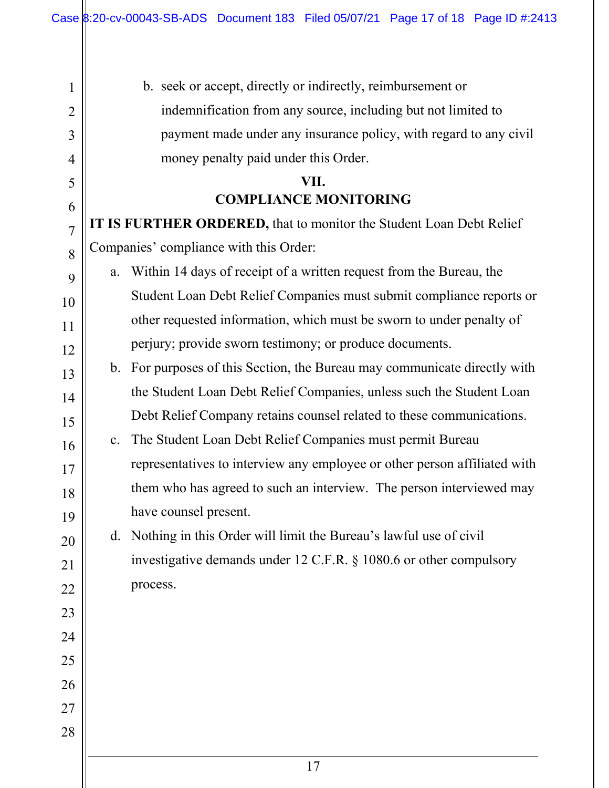1

2

3

4

5

6

7

8

9

10

11

12

13

14

15

16

17

18

19

20

21

22

23

24

25

26

27

28

b. seek or accept, directly or indirectly, reimbursement or indemnification from any source, including but not limited to payment made under any insurance policy, with regard to any civil money penalty paid under this Order.

## **VII. COMPLIANCE MONITORING**

**IT IS FURTHER ORDERED,** that to monitor the Student Loan Debt Relief Companies' compliance with this Order:

a. Within 14 days of receipt of a written request from the Bureau, the Student Loan Debt Relief Companies must submit compliance reports or other requested information, which must be sworn to under penalty of perjury; provide sworn testimony; or produce documents.

b. For purposes of this Section, the Bureau may communicate directly with the Student Loan Debt Relief Companies, unless such the Student Loan Debt Relief Company retains counsel related to these communications.

c. The Student Loan Debt Relief Companies must permit Bureau representatives to interview any employee or other person affiliated with them who has agreed to such an interview. The person interviewed may have counsel present.

d. Nothing in this Order will limit the Bureau's lawful use of civil investigative demands under 12 C.F.R. § 1080.6 or other compulsory process.